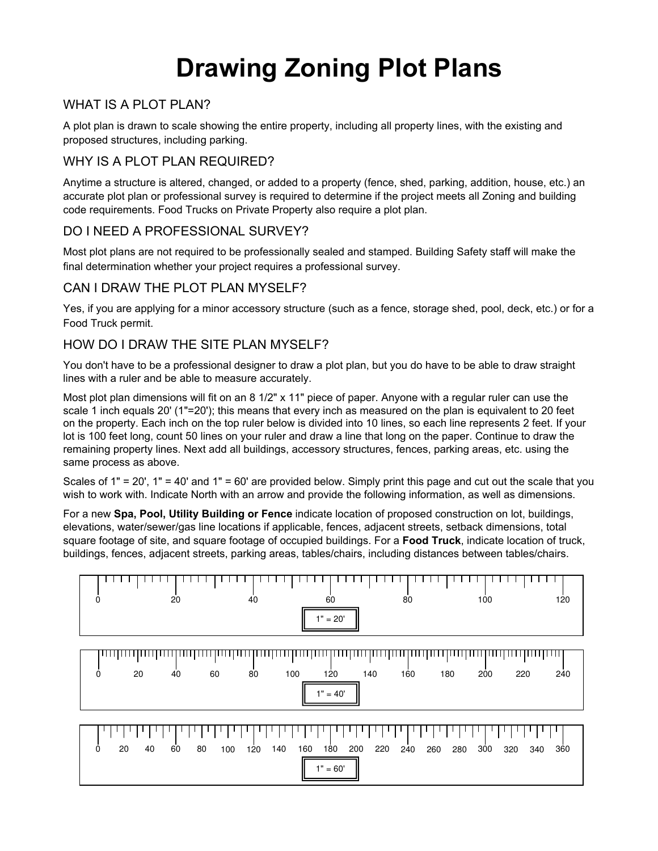# **Drawing Zoning Plot Plans**

## WHAT IS A PLOT PLAN?

A plot plan is drawn to scale showing the entire property, including all property lines, with the existing and proposed structures, including parking.

## WHY IS A PLOT PLAN REQUIRED?

Anytime a structure is altered, changed, or added to a property (fence, shed, parking, addition, house, etc.) an accurate plot plan or professional survey is required to determine if the project meets all Zoning and building code requirements. Food Trucks on Private Property also require a plot plan.

#### DO I NEED A PROFESSIONAL SURVEY?

Most plot plans are not required to be professionally sealed and stamped. Building Safety staff will make the final determination whether your project requires a professional survey.

### CAN I DRAW THE PLOT PLAN MYSELF?

Yes, if you are applying for a minor accessory structure (such as a fence, storage shed, pool, deck, etc.) or for a Food Truck permit.

#### HOW DO I DRAW THE SITE PLAN MYSELF?

You don't have to be a professional designer to draw a plot plan, but you do have to be able to draw straight lines with a ruler and be able to measure accurately.

Most plot plan dimensions will fit on an 8 1/2" x 11" piece of paper. Anyone with a regular ruler can use the scale 1 inch equals 20' (1"=20'); this means that every inch as measured on the plan is equivalent to 20 feet on the property. Each inch on the top ruler below is divided into 10 lines, so each line represents 2 feet. If your lot is 100 feet long, count 50 lines on your ruler and draw a line that long on the paper. Continue to draw the remaining property lines. Next add all buildings, accessory structures, fences, parking areas, etc. using the same process as above.

Scales of 1" = 20', 1" = 40' and 1" = 60' are provided below. Simply print this page and cut out the scale that you wish to work with. Indicate North with an arrow and provide the following information, as well as dimensions.

For a new **Spa, Pool, Utility Building or Fence** indicate location of proposed construction on lot, buildings, elevations, water/sewer/gas line locations if applicable, fences, adjacent streets, setback dimensions, total square footage of site, and square footage of occupied buildings. For a **Food Truck**, indicate location of truck, buildings, fences, adjacent streets, parking areas, tables/chairs, including distances between tables/chairs.